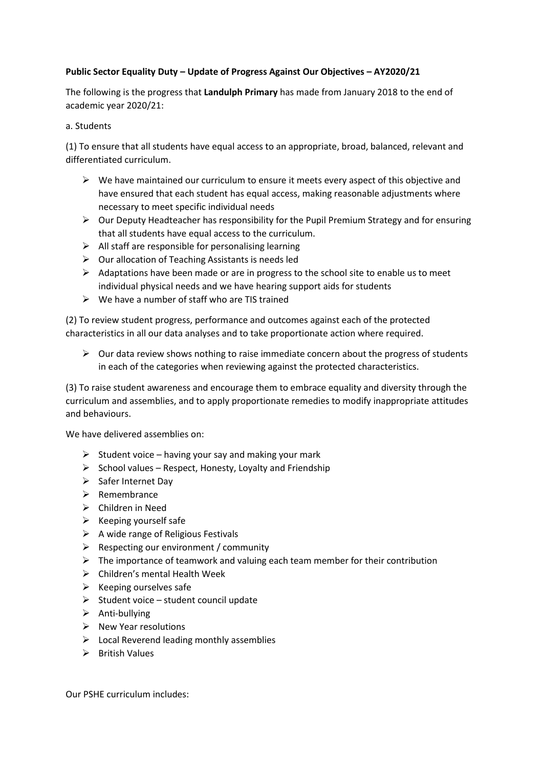### **Public Sector Equality Duty – Update of Progress Against Our Objectives – AY2020/21**

The following is the progress that **Landulph Primary** has made from January 2018 to the end of academic year 2020/21:

### a. Students

(1) To ensure that all students have equal access to an appropriate, broad, balanced, relevant and differentiated curriculum.

- $\triangleright$  We have maintained our curriculum to ensure it meets every aspect of this objective and have ensured that each student has equal access, making reasonable adjustments where necessary to meet specific individual needs
- $\triangleright$  Our Deputy Headteacher has responsibility for the Pupil Premium Strategy and for ensuring that all students have equal access to the curriculum.
- $\triangleright$  All staff are responsible for personalising learning
- $\triangleright$  Our allocation of Teaching Assistants is needs led
- $\triangleright$  Adaptations have been made or are in progress to the school site to enable us to meet individual physical needs and we have hearing support aids for students
- $\triangleright$  We have a number of staff who are TIS trained

(2) To review student progress, performance and outcomes against each of the protected characteristics in all our data analyses and to take proportionate action where required.

➢ Our data review shows nothing to raise immediate concern about the progress of students in each of the categories when reviewing against the protected characteristics.

(3) To raise student awareness and encourage them to embrace equality and diversity through the curriculum and assemblies, and to apply proportionate remedies to modify inappropriate attitudes and behaviours.

We have delivered assemblies on:

- $\triangleright$  Student voice having your say and making your mark
- $\triangleright$  School values Respect, Honesty, Loyalty and Friendship
- ➢ Safer Internet Day
- ➢ Remembrance
- ➢ Children in Need
- $\triangleright$  Keeping yourself safe
- $\triangleright$  A wide range of Religious Festivals
- $\triangleright$  Respecting our environment / community
- $\triangleright$  The importance of teamwork and valuing each team member for their contribution
- $\triangleright$  Children's mental Health Week
- $\triangleright$  Keeping ourselves safe
- $\triangleright$  Student voice student council update
- ➢ Anti-bullying
- $\triangleright$  New Year resolutions
- $\triangleright$  Local Reverend leading monthly assemblies
- ➢ British Values

Our PSHE curriculum includes: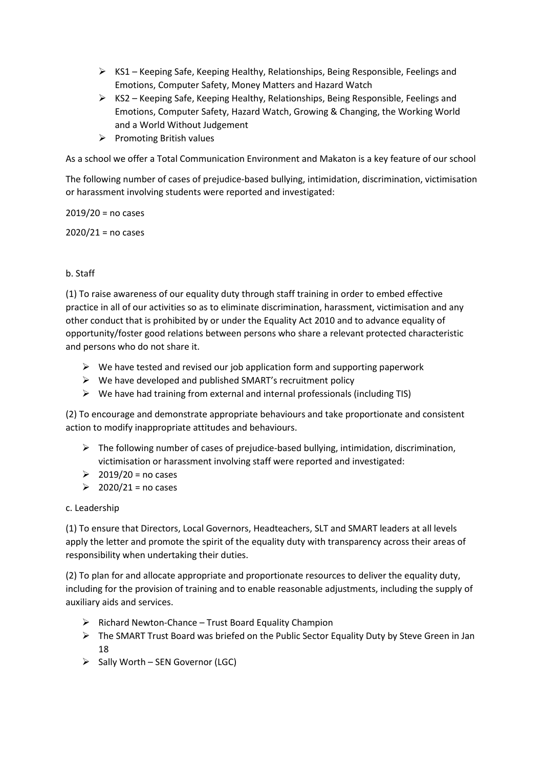- $\triangleright$  KS1 Keeping Safe, Keeping Healthy, Relationships, Being Responsible, Feelings and Emotions, Computer Safety, Money Matters and Hazard Watch
- ➢ KS2 Keeping Safe, Keeping Healthy, Relationships, Being Responsible, Feelings and Emotions, Computer Safety, Hazard Watch, Growing & Changing, the Working World and a World Without Judgement
- ➢ Promoting British values

As a school we offer a Total Communication Environment and Makaton is a key feature of our school

The following number of cases of prejudice-based bullying, intimidation, discrimination, victimisation or harassment involving students were reported and investigated:

 $2019/20$  = no cases

 $2020/21$  = no cases

# b. Staff

(1) To raise awareness of our equality duty through staff training in order to embed effective practice in all of our activities so as to eliminate discrimination, harassment, victimisation and any other conduct that is prohibited by or under the Equality Act 2010 and to advance equality of opportunity/foster good relations between persons who share a relevant protected characteristic and persons who do not share it.

- $\triangleright$  We have tested and revised our job application form and supporting paperwork
- $\triangleright$  We have developed and published SMART's recruitment policy
- ➢ We have had training from external and internal professionals (including TIS)

(2) To encourage and demonstrate appropriate behaviours and take proportionate and consistent action to modify inappropriate attitudes and behaviours.

- ➢ The following number of cases of prejudice-based bullying, intimidation, discrimination, victimisation or harassment involving staff were reported and investigated:
- $\geq$  2019/20 = no cases
- $\geq 2020/21$  = no cases

## c. Leadership

(1) To ensure that Directors, Local Governors, Headteachers, SLT and SMART leaders at all levels apply the letter and promote the spirit of the equality duty with transparency across their areas of responsibility when undertaking their duties.

(2) To plan for and allocate appropriate and proportionate resources to deliver the equality duty, including for the provision of training and to enable reasonable adjustments, including the supply of auxiliary aids and services.

- $\triangleright$  Richard Newton-Chance Trust Board Equality Champion
- ➢ The SMART Trust Board was briefed on the Public Sector Equality Duty by Steve Green in Jan 18
- $\triangleright$  Sally Worth SEN Governor (LGC)